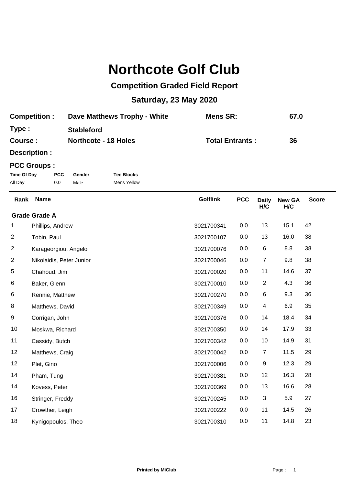## **Northcote Golf Club**

## **Competition Graded Field Report**

## **Saturday, 23 May 2020**

| <b>Competition:</b> | Dave Matthews Trophy - White | Mens SR:               | 67.0 |
|---------------------|------------------------------|------------------------|------|
| Type:               | <b>Stableford</b>            |                        |      |
| <b>Course:</b>      | <b>Northcote - 18 Holes</b>  | <b>Total Entrants:</b> | 36   |

**Description :**

## **PCC Groups :**

| Time Of Day | PCC. | Gender | <b>Tee Blocks</b> |
|-------------|------|--------|-------------------|
| All Day     | 0.0  | Male   | Mens Yellow       |

**New GA H/C** Golflink **PCC** Daily **H/C** Rank Name **PCC Daily New GA** Score Phillips, Andrew 3021700341 0.0 13 15.1 42 **Grade Grade A** Tobin, Paul 3021700107 0.0 13 16.0 38 Karageorgiou, Angelo 3021700076 0.0 6 8.8 38 Nikolaidis, Peter Junior 3021700046 0.0 7 9.8 38 Chahoud, Jim 3021700020 0.0 11 14.6 37 Baker, Glenn 3021700010 0.0 2 4.3 36 Rennie, Matthew 3021700270 0.0 6 9.3 36 Matthews, David 3021700349 0.0 4 6.9 35 Corrigan, John 3021700376 0.0 14 18.4 34 Moskwa, Richard 3021700350 0.0 14 17.9 33 Cassidy, Butch 3021700342 0.0 10 14.9 31 12 Matthews, Craig 29 and 2021700042 0.0 7 11.5 29 Plet, Gino 3021700006 0.0 9 12.3 29 Pham, Tung 3021700381 0.0 12 16.3 28 Kovess, Peter 3021700369 0.0 13 16.6 28 16 Stringer, Freddy **3021700245** 0.0 3 5.9 27 17 Crowther, Leigh 3021700222 0.0 11 14.5 26 Kynigopoulos, Theo 3021700310 0.0 11 14.8 23